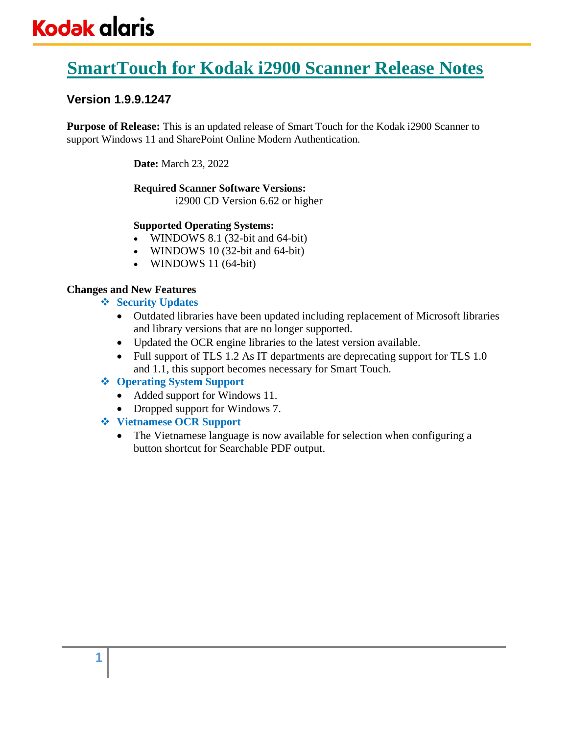# **SmartTouch for Kodak i2900 Scanner Release Notes**

# **Version 1.9.9.1247**

**Purpose of Release:** This is an updated release of Smart Touch for the Kodak i2900 Scanner to support Windows 11 and SharePoint Online Modern Authentication.

**Date:** March 23, 2022

## **Required Scanner Software Versions:**

i2900 CD Version 6.62 or higher

## **Supported Operating Systems:**

- WINDOWS 8.1 (32-bit and 64-bit)
- WINDOWS 10 (32-bit and 64-bit)
- WINDOWS 11 (64-bit)

## **Changes and New Features**

- ❖ **Security Updates**
	- Outdated libraries have been updated including replacement of Microsoft libraries and library versions that are no longer supported.
	- Updated the OCR engine libraries to the latest version available.
	- Full support of TLS 1.2 As IT departments are deprecating support for TLS 1.0 and 1.1, this support becomes necessary for Smart Touch.

# ❖ **Operating System Support**

- Added support for Windows 11.
- Dropped support for Windows 7.

# ❖ **Vietnamese OCR Support**

• The Vietnamese language is now available for selection when configuring a button shortcut for Searchable PDF output.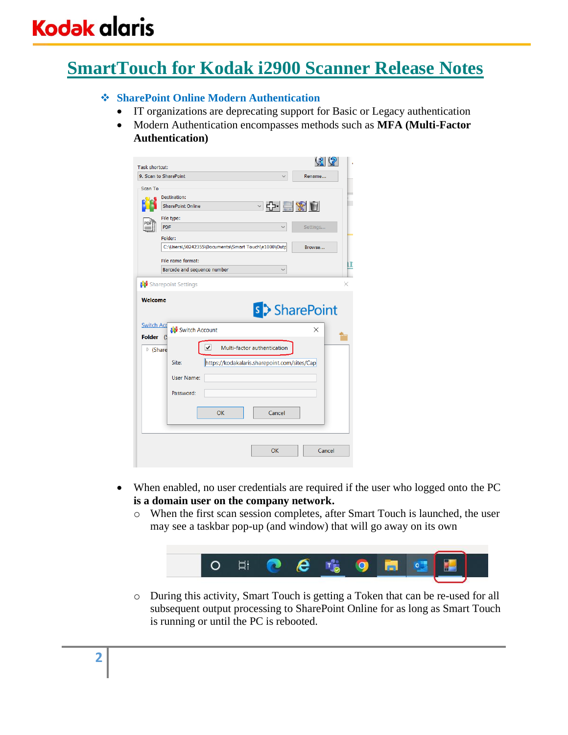# **SmartTouch for Kodak i2900 Scanner Release Notes**

## ❖ **SharePoint Online Modern Authentication**

- IT organizations are deprecating support for Basic or Legacy authentication
- Modern Authentication encompasses methods such as **MFA (Multi-Factor Authentication)**

| Task shortcut:<br>9. Scan to SharePoint        |                                                                                                                       |         |                                                                                        | <u>(१</u> ८२<br>Rename          |
|------------------------------------------------|-----------------------------------------------------------------------------------------------------------------------|---------|----------------------------------------------------------------------------------------|---------------------------------|
| Scan To<br><b>PDF</b>                          | Destination:<br><b>SharePoint Online</b><br>File type:<br>Folder:<br>File name format:<br>Barcode and sequence number |         | <b>○ 수 모 ※ 히</b><br>C:\Users\50242355\Documents\Smart Touch\e1000\Outp<br>$\checkmark$ | Settings<br>Browse<br>П         |
| <b>Welcome</b><br><b>Switch Acc</b>            | <b>Sharepoint Settings</b><br><b>Switch Account</b>                                                                   |         |                                                                                        | ×<br><b>s</b> > SharePoint<br>× |
| <b>Folder</b><br>(S<br>$\triangleright$ (Share | Site:<br>User Name:<br>Password:                                                                                      | ✓<br>OK | Multi-factor authentication<br>https://kodakalaris.sharepoint.com/sites/Cap<br>Cancel  |                                 |
|                                                |                                                                                                                       |         | OK                                                                                     | Cancel                          |

- When enabled, no user credentials are required if the user who logged onto the PC **is a domain user on the company network.**
	- o When the first scan session completes, after Smart Touch is launched, the user may see a taskbar pop-up (and window) that will go away on its own



o During this activity, Smart Touch is getting a Token that can be re-used for all subsequent output processing to SharePoint Online for as long as Smart Touch is running or until the PC is rebooted.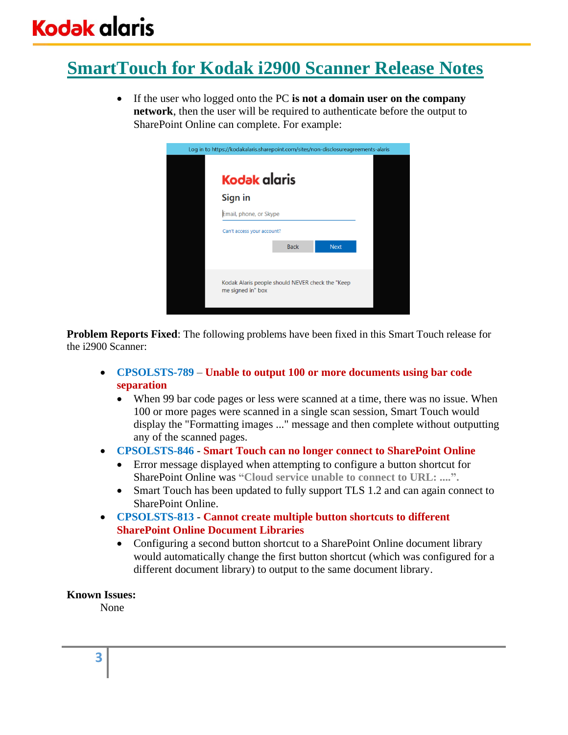# **SmartTouch for Kodak i2900 Scanner Release Notes**

• If the user who logged onto the PC **is not a domain user on the company network**, then the user will be required to authenticate before the output to SharePoint Online can complete. For example:



**Problem Reports Fixed**: The following problems have been fixed in this Smart Touch release for the i2900 Scanner:

- **CPSOLSTS-789 Unable to output 100 or more documents using bar code separation**
	- When 99 bar code pages or less were scanned at a time, there was no issue. When 100 or more pages were scanned in a single scan session, Smart Touch would display the "Formatting images ..." message and then complete without outputting any of the scanned pages.
- **CPSOLSTS-846 Smart Touch can no longer connect to SharePoint Online**
	- Error message displayed when attempting to configure a button shortcut for SharePoint Online was **"Cloud service unable to connect to URL: ....".**
	- Smart Touch has been updated to fully support TLS 1.2 and can again connect to SharePoint Online.
- **CPSOLSTS-813 Cannot create multiple button shortcuts to different SharePoint Online Document Libraries**
	- Configuring a second button shortcut to a SharePoint Online document library would automatically change the first button shortcut (which was configured for a different document library) to output to the same document library.

### **Known Issues:**

None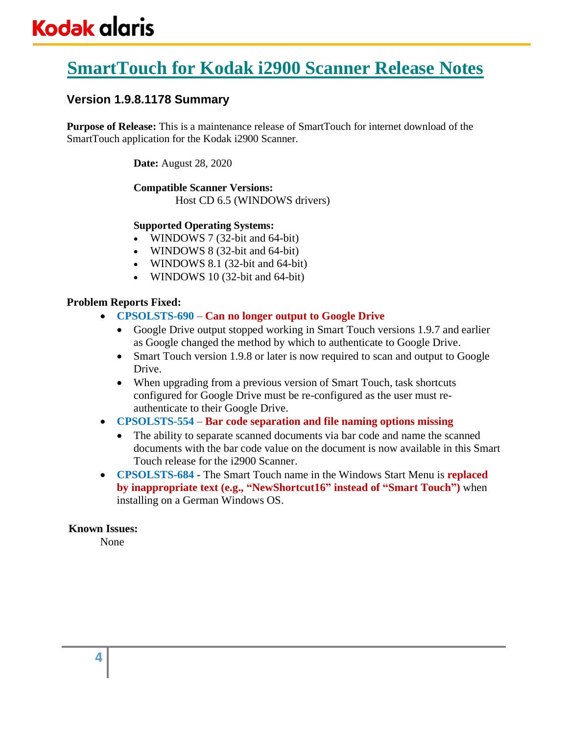# **SmartTouch for Kodak i2900 Scanner Release Notes**

# **Version 1.9.8.1178 Summary**

**Purpose of Release:** This is a maintenance release of SmartTouch for internet download of the SmartTouch application for the Kodak i2900 Scanner.

**Date:** August 28, 2020

# **Compatible Scanner Versions:**

Host CD 6.5 (WINDOWS drivers)

### **Supported Operating Systems:**

- WINDOWS 7 (32-bit and 64-bit)
- WINDOWS 8 (32-bit and 64-bit)
- WINDOWS 8.1 (32-bit and 64-bit)
- WINDOWS 10 (32-bit and 64-bit)

## **Problem Reports Fixed:**

- **CPSOLSTS-690 Can no longer output to Google Drive**
	- Google Drive output stopped working in Smart Touch versions 1.9.7 and earlier as Google changed the method by which to authenticate to Google Drive.
	- Smart Touch version 1.9.8 or later is now required to scan and output to Google Drive.
	- When upgrading from a previous version of Smart Touch, task shortcuts configured for Google Drive must be re-configured as the user must reauthenticate to their Google Drive.
- **CPSOLSTS-554 Bar code separation and file naming options missing**
	- The ability to separate scanned documents via bar code and name the scanned documents with the bar code value on the document is now available in this Smart Touch release for the i2900 Scanner.
- **CPSOLSTS-684** The Smart Touch name in the Windows Start Menu is **replaced by inappropriate text (e.g., "NewShortcut16" instead of "Smart Touch")** when installing on a German Windows OS.

### **Known Issues:**

None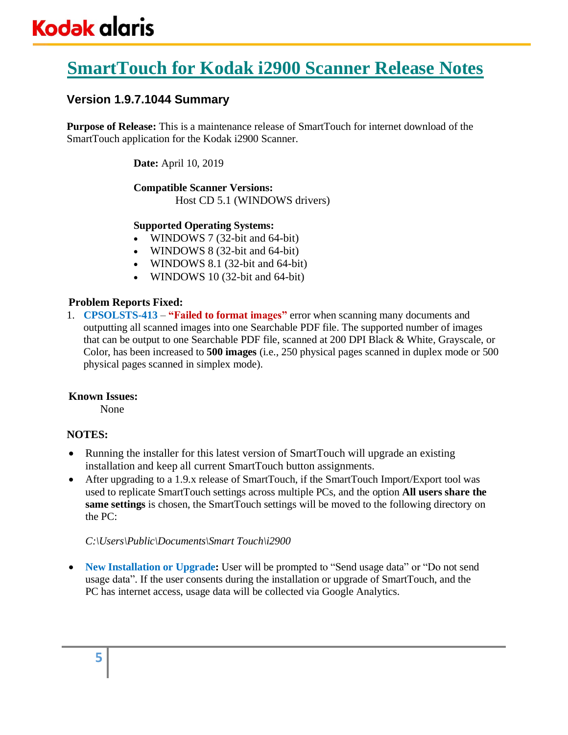# **SmartTouch for Kodak i2900 Scanner Release Notes**

# **Version 1.9.7.1044 Summary**

**Purpose of Release:** This is a maintenance release of SmartTouch for internet download of the SmartTouch application for the Kodak i2900 Scanner.

**Date:** April 10, 2019

#### **Compatible Scanner Versions:** Host CD 5.1 (WINDOWS drivers)

## **Supported Operating Systems:**

- WINDOWS 7 (32-bit and 64-bit)
- WINDOWS 8 (32-bit and 64-bit)
- WINDOWS 8.1 (32-bit and 64-bit)
- WINDOWS 10 (32-bit and 64-bit)

# **Problem Reports Fixed:**

1. **CPSOLSTS-413** – **"Failed to format images"** error when scanning many documents and outputting all scanned images into one Searchable PDF file. The supported number of images that can be output to one Searchable PDF file, scanned at 200 DPI Black & White, Grayscale, or Color, has been increased to **500 images** (i.e., 250 physical pages scanned in duplex mode or 500 physical pages scanned in simplex mode).

# **Known Issues:**

None

# **NOTES:**

- Running the installer for this latest version of SmartTouch will upgrade an existing installation and keep all current SmartTouch button assignments.
- After upgrading to a 1.9.x release of SmartTouch, if the SmartTouch Import/Export tool was used to replicate SmartTouch settings across multiple PCs, and the option **All users share the same settings** is chosen, the SmartTouch settings will be moved to the following directory on the PC:

*C:\Users\Public\Documents\Smart Touch\i2900*

• **New Installation or Upgrade:** User will be prompted to "Send usage data" or "Do not send usage data". If the user consents during the installation or upgrade of SmartTouch, and the PC has internet access, usage data will be collected via Google Analytics.